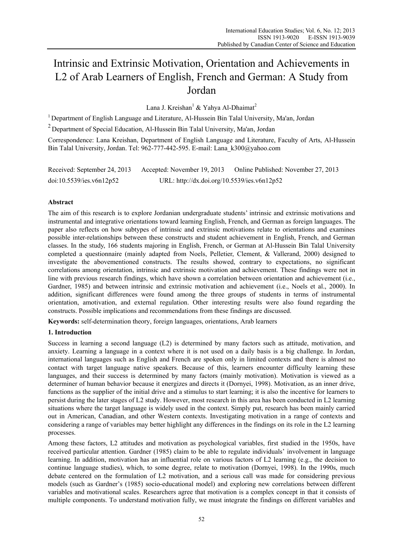# Intrinsic and Extrinsic Motivation, Orientation and Achievements in L2 of Arab Learners of English, French and German: A Study from Jordan

Lana J. Kreishan<sup>1</sup> & Yahya Al-Dhaimat<sup>2</sup>

<sup>1</sup> Department of English Language and Literature, Al-Hussein Bin Talal University, Ma'an, Jordan

 $2$  Department of Special Education, Al-Hussein Bin Talal University, Ma'an, Jordan

Correspondence: Lana Kreishan, Department of English Language and Literature, Faculty of Arts, Al-Hussein Bin Talal University, Jordan. Tel: 962-777-442-595. E-mail: Lana\_k300@yahoo.com

Received: September 24, 2013 Accepted: November 19, 2013 Online Published: November 27, 2013 doi:10.5539/ies.v6n12p52 URL: http://dx.doi.org/10.5539/ies.v6n12p52

# **Abstract**

The aim of this research is to explore Jordanian undergraduate students' intrinsic and extrinsic motivations and instrumental and integrative orientations toward learning English, French, and German as foreign languages. The paper also reflects on how subtypes of intrinsic and extrinsic motivations relate to orientations and examines possible inter-relationships between these constructs and student achievement in English, French, and German classes. In the study, 166 students majoring in English, French, or German at Al-Hussein Bin Talal University completed a questionnaire (mainly adapted from Noels, Pelletier, Clement, & Vallerand, 2000) designed to investigate the abovementioned constructs. The results showed, contrary to expectations, no significant correlations among orientation, intrinsic and extrinsic motivation and achievement. These findings were not in line with previous research findings, which have shown a correlation between orientation and achievement (i.e., Gardner, 1985) and between intrinsic and extrinsic motivation and achievement (i.e., Noels et al., 2000). In addition, significant differences were found among the three groups of students in terms of instrumental orientation, amotivation, and external regulation. Other interesting results were also found regarding the constructs. Possible implications and recommendations from these findings are discussed.

**Keywords:** self-determination theory, foreign languages, orientations, Arab learners

# **1. Introduction**

Success in learning a second language (L2) is determined by many factors such as attitude, motivation, and anxiety. Learning a language in a context where it is not used on a daily basis is a big challenge. In Jordan, international languages such as English and French are spoken only in limited contexts and there is almost no contact with target language native speakers. Because of this, learners encounter difficulty learning these languages, and their success is determined by many factors (mainly motivation). Motivation is viewed as a determiner of human behavior because it energizes and directs it (Dornyei, 1998). Motivation, as an inner drive, functions as the supplier of the initial drive and a stimulus to start learning; it is also the incentive for learners to persist during the later stages of L2 study. However, most research in this area has been conducted in L2 learning situations where the target language is widely used in the context. Simply put, research has been mainly carried out in American, Canadian, and other Western contexts. Investigating motivation in a range of contexts and considering a range of variables may better highlight any differences in the findings on its role in the L2 learning processes.

Among these factors, L2 attitudes and motivation as psychological variables, first studied in the 1950s, have received particular attention. Gardner (1985) claim to be able to regulate individuals' involvement in language learning. In addition, motivation has an influential role on various factors of L2 learning (e.g., the decision to continue language studies), which, to some degree, relate to motivation (Dornyei, 1998). In the 1990s, much debate centered on the formulation of L2 motivation, and a serious call was made for considering previous models (such as Gardner's (1985) socio-educational model) and exploring new correlations between different variables and motivational scales. Researchers agree that motivation is a complex concept in that it consists of multiple components. To understand motivation fully, we must integrate the findings on different variables and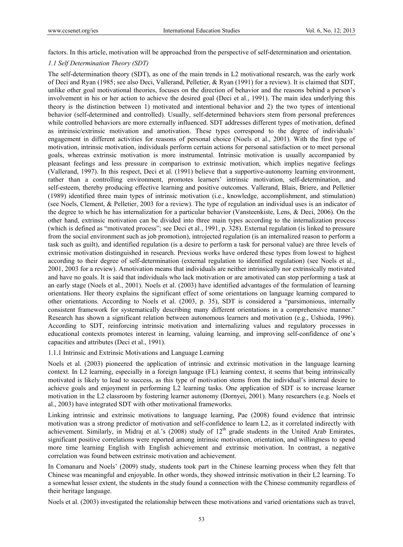factors. In this article, motivation will be approached from the perspective of self-determination and orientation.

#### *1.1 Self Determination Theory (SDT)*

The self-determination theory (SDT), as one of the main trends in L2 motivational research, was the early work of Deci and Ryan (1985; see also Deci, Vallerand, Pelletier, & Ryan (1991) for a review). It is claimed that SDT, unlike other goal motivational theories, focuses on the direction of behavior and the reasons behind a person's involvement in his or her action to achieve the desired goal (Deci et al., 1991). The main idea underlying this theory is the distinction between 1) motivated and intentional behavior and 2) the two types of intentional behavior (self-determined and controlled). Usually, self-determined behaviors stem from personal preferences while controlled behaviors are more externally influenced. SDT addresses different types of motivation, defined as intrinsic/extrinsic motivation and amotivation. These types correspond to the degree of individuals' engagement in different activities for reasons of personal choice (Noels et al., 2001). With the first type of motivation, intrinsic motivation, individuals perform certain actions for personal satisfaction or to meet personal goals, whereas extrinsic motivation is more instrumental. Intrinsic motivation is usually accompanied by pleasant feelings and less pressure in comparison to extrinsic motivation, which implies negative feelings (Vallerand, 1997). In this respect, Deci et al. (1991) believe that a supportive-autonomy learning environment, rather than a controlling environment, promotes learners' intrinsic motivation, self-determination, and self-esteem, thereby producing effective learning and positive outcomes. Vallerand, Blais, Briere, and Pelletier (1989) identified three main types of intrinsic motivation (i.e., knowledge, accomplishment, and stimulation) (see Noels, Clement, & Pelletier, 2003 for a review). The type of regulation an individual uses is an indicator of the degree to which he has internalization for a particular behavior (Vansteenkiste, Lens, & Deci, 2006). On the other hand, extrinsic motivation can be divided into three main types according to the internalization process (which is defined as "motivated process"; see Deci et al., 1991, p. 328). External regulation (is linked to pressure from the social environment such as job promotion), introjected regulation (is an internalized reason to perform a task such as guilt), and identified regulation (is a desire to perform a task for personal value) are three levels of extrinsic motivation distinguished in research. Previous works have ordered these types from lowest to highest according to their degree of self-determination (external regulation to identified regulation) (see Noels et al., 2001, 2003 for a review). Amotivation means that individuals are neither intrinsically nor extrinsically motivated and have no goals. It is said that individuals who lack motivation or are amotivated can stop performing a task at an early stage (Noels et al., 2001). Noels et al. (2003) have identified advantages of the formulation of learning orientations. Her theory explains the significant effect of some orientations on language learning compared to other orientations. According to Noels et al. (2003, p. 35), SDT is considered a "parsimonious, internally consistent framework for systematically describing many different orientations in a comprehensive manner." Research has shown a significant relation between autonomous learners and motivation (e.g., Ushioda, 1996). According to SDT, reinforcing intrinsic motivation and internalizing values and regulatory processes in educational contexts promotes interest in learning, valuing learning, and improving self-confidence of one's capacities and attributes (Deci et al., 1991).

#### 1.1.1 Intrinsic and Extrinsic Motivations and Language Learning

Noels et al. (2003) pioneered the application of intrinsic and extrinsic motivation in the language learning context. In L2 learning, especially in a foreign language (FL) learning context, it seems that being intrinsically motivated is likely to lead to success, as this type of motivation stems from the individual's internal desire to achieve goals and enjoyment in performing L2 learning tasks. One application of SDT is to increase learner motivation in the L2 classroom by fostering learner autonomy (Dornyei, 2001). Many researchers (e.g. Noels et al., 2003) have integrated SDT with other motivational frameworks.

Linking intrinsic and extrinsic motivations to language learning, Pae (2008) found evidence that intrinsic motivation was a strong predictor of motivation and self-confidence to learn L2, as it correlated indirectly with achievement. Similarly, in Midraj et al.'s (2008) study of 12<sup>th</sup> grade students in the United Arab Emirates, significant positive correlations were reported among intrinsic motivation, orientation, and willingness to spend more time learning English with English achievement and extrinsic motivation. In contrast, a negative correlation was found between extrinsic motivation and achievement.

In Comanaru and Noels' (2009) study, students took part in the Chinese learning process when they felt that Chinese was meaningful and enjoyable. In other words, they showed intrinsic motivation in their L2 learning. To a somewhat lesser extent, the students in the study found a connection with the Chinese community regardless of their heritage language.

Noels et al. (2003) investigated the relationship between these motivations and varied orientations such as travel,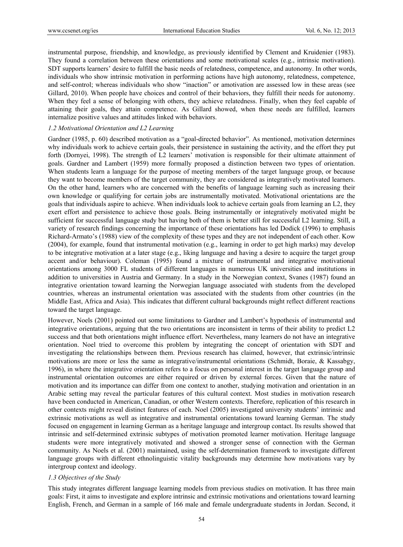instrumental purpose, friendship, and knowledge, as previously identified by Clement and Kruidenier (1983). They found a correlation between these orientations and some motivational scales (e.g., intrinsic motivation). SDT supports learners' desire to fulfill the basic needs of relatedness, competence, and autonomy. In other words, individuals who show intrinsic motivation in performing actions have high autonomy, relatedness, competence, and self-control; whereas individuals who show "inaction" or amotivation are assessed low in these areas (see Gillard, 2010). When people have choices and control of their behaviors, they fulfill their needs for autonomy. When they feel a sense of belonging with others, they achieve relatedness. Finally, when they feel capable of attaining their goals, they attain competence. As Gillard showed, when these needs are fulfilled, learners internalize positive values and attitudes linked with behaviors.

#### *1.2 Motivational Orientation and L2 Learning*

Gardner (1985, p. 60) described motivation as a "goal-directed behavior". As mentioned, motivation determines why individuals work to achieve certain goals, their persistence in sustaining the activity, and the effort they put forth (Dornyei, 1998). The strength of L2 learners' motivation is responsible for their ultimate attainment of goals. Gardner and Lambert (1959) more formally proposed a distinction between two types of orientation. When students learn a language for the purpose of meeting members of the target language group, or because they want to become members of the target community, they are considered as integratively motivated learners. On the other hand, learners who are concerned with the benefits of language learning such as increasing their own knowledge or qualifying for certain jobs are instrumentally motivated. Motivational orientations are the goals that individuals aspire to achieve. When individuals look to achieve certain goals from learning an L2, they exert effort and persistence to achieve those goals. Being instrumentally or integratively motivated might be sufficient for successful language study but having both of them is better still for successful L2 learning. Still, a variety of research findings concerning the importance of these orientations has led Dodick (1996) to emphasis Richard-Armato's (1988) view of the complexity of these types and they are not independent of each other. Kow (2004), for example, found that instrumental motivation (e.g., learning in order to get high marks) may develop to be integrative motivation at a later stage (e.g., liking language and having a desire to acquire the target group accent and/or behaviour). Coleman (1995) found a mixture of instrumental and integrative motivational orientations among 3000 FL students of different languages in numerous UK universities and institutions in addition to universities in Austria and Germany. In a study in the Norwegian context, Svanes (1987) found an integrative orientation toward learning the Norwegian language associated with students from the developed countries, whereas an instrumental orientation was associated with the students from other countries (in the Middle East, Africa and Asia). This indicates that different cultural backgrounds might reflect different reactions toward the target language.

However, Noels (2001) pointed out some limitations to Gardner and Lambert's hypothesis of instrumental and integrative orientations, arguing that the two orientations are inconsistent in terms of their ability to predict L2 success and that both orientations might influence effort. Nevertheless, many learners do not have an integrative orientation. Noel tried to overcome this problem by integrating the concept of orientation with SDT and investigating the relationships between them. Previous research has claimed, however, that extrinsic/intrinsic motivations are more or less the same as integrative/instrumental orientations (Schmidt, Boraie, & Kassabgy, 1996), in where the integrative orientation refers to a focus on personal interest in the target language group and instrumental orientation outcomes are either required or driven by external forces. Given that the nature of motivation and its importance can differ from one context to another, studying motivation and orientation in an Arabic setting may reveal the particular features of this cultural context. Most studies in motivation research have been conducted in American, Canadian, or other Western contexts. Therefore, replication of this research in other contexts might reveal distinct features of each. Noel (2005) investigated university students' intrinsic and extrinsic motivations as well as integrative and instrumental orientations toward learning German. The study focused on engagement in learning German as a heritage language and intergroup contact. Its results showed that intrinsic and self-determined extrinsic subtypes of motivation promoted learner motivation. Heritage language students were more integratively motivated and showed a stronger sense of connection with the German community. As Noels et al. (2001) maintained, using the self-determination framework to investigate different language groups with different ethnolinguistic vitality backgrounds may determine how motivations vary by intergroup context and ideology.

#### *1.3 Objectives of the Study*

This study integrates different language learning models from previous studies on motivation. It has three main goals: First, it aims to investigate and explore intrinsic and extrinsic motivations and orientations toward learning English, French, and German in a sample of 166 male and female undergraduate students in Jordan. Second, it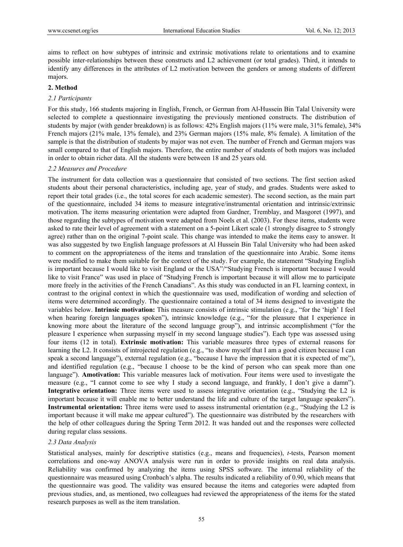aims to reflect on how subtypes of intrinsic and extrinsic motivations relate to orientations and to examine possible inter-relationships between these constructs and L2 achievement (or total grades). Third, it intends to identify any differences in the attributes of L2 motivation between the genders or among students of different majors.

### **2. Method**

#### *2.1 Participants*

For this study, 166 students majoring in English, French, or German from Al-Hussein Bin Talal University were selected to complete a questionnaire investigating the previously mentioned constructs. The distribution of students by major (with gender breakdown) is as follows: 42% English majors (11% were male, 31% female), 34% French majors (21% male, 13% female), and 23% German majors (15% male, 8% female). A limitation of the sample is that the distribution of students by major was not even. The number of French and German majors was small compared to that of English majors. Therefore, the entire number of students of both majors was included in order to obtain richer data. All the students were between 18 and 25 years old.

#### *2.2 Measures and Procedure*

The instrument for data collection was a questionnaire that consisted of two sections. The first section asked students about their personal characteristics, including age, year of study, and grades. Students were asked to report their total grades (i.e., the total scores for each academic semester). The second section, as the main part of the questionnaire, included 34 items to measure integrative/instrumental orientation and intrinsic/extrinsic motivation. The items measuring orientation were adapted from Gardner, Tremblay, and Masgoret (1997), and those regarding the subtypes of motivation were adapted from Noels et al. (2003). For these items, students were asked to rate their level of agreement with a statement on a 5-point Likert scale (1 strongly disagree to 5 strongly agree) rather than on the original 7-point scale. This change was intended to make the items easy to answer. It was also suggested by two English language professors at Al Hussein Bin Talal University who had been asked to comment on the appropriateness of the items and translation of the questionnaire into Arabic. Some items were modified to make them suitable for the context of the study. For example, the statement "Studying English is important because I would like to visit England or the USA"/"Studying French is important because I would like to visit France" was used in place of "Studying French is important because it will allow me to participate more freely in the activities of the French Canadians". As this study was conducted in an FL learning context, in contrast to the original context in which the questionnaire was used, modification of wording and selection of items were determined accordingly. The questionnaire contained a total of 34 items designed to investigate the variables below. **Intrinsic motivation:** This measure consists of intrinsic stimulation (e.g., "for the 'high' I feel when hearing foreign languages spoken"), intrinsic knowledge (e.g., "for the pleasure that I experience in knowing more about the literature of the second language group"), and intrinsic accomplishment ("for the pleasure I experience when surpassing myself in my second language studies"). Each type was assessed using four items (12 in total). **Extrinsic motivation:** This variable measures three types of external reasons for learning the L2. It consists of introjected regulation (e.g., "to show myself that I am a good citizen because I can speak a second language"), external regulation (e.g., "because I have the impression that it is expected of me"), and identified regulation (e.g., "because I choose to be the kind of person who can speak more than one language"). **Amotivation:** This variable measures lack of motivation. Four items were used to investigate the measure (e.g., "I cannot come to see why I study a second language, and frankly, I don't give a damn"). **Integrative orientation:** Three items were used to assess integrative orientation (e.g., "Studying the L2 is important because it will enable me to better understand the life and culture of the target language speakers"). **Instrumental orientation:** Three items were used to assess instrumental orientation (e.g., "Studying the L2 is important because it will make me appear cultured"). The questionnaire was distributed by the researchers with the help of other colleagues during the Spring Term 2012. It was handed out and the responses were collected during regular class sessions.

# *2.3 Data Analysis*

Statistical analyses, mainly for descriptive statistics (e.g., means and frequencies), *t*-tests, Pearson moment correlations and one-way ANOVA analysis were run in order to provide insights on real data analysis. Reliability was confirmed by analyzing the items using SPSS software. The internal reliability of the questionnaire was measured using Cronbach's alpha. The results indicated a reliability of 0.90, which means that the questionnaire was good. The validity was ensured because the items and categories were adapted from previous studies, and, as mentioned, two colleagues had reviewed the appropriateness of the items for the stated research purposes as well as the item translation.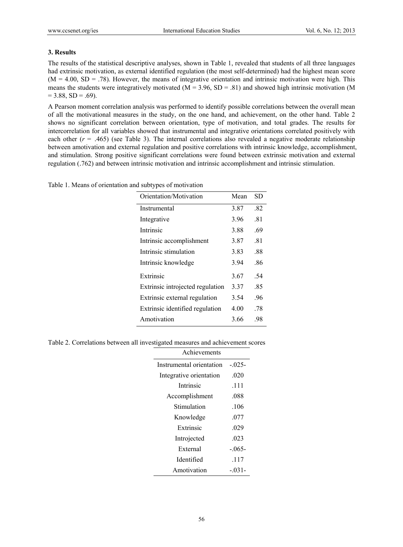# **3. Results**

The results of the statistical descriptive analyses, shown in Table 1, revealed that students of all three languages had extrinsic motivation, as external identified regulation (the most self-determined) had the highest mean score  $(M = 4.00, SD = .78)$ . However, the means of integrative orientation and intrinsic motivation were high. This means the students were integratively motivated ( $M = 3.96$ ,  $SD = .81$ ) and showed high intrinsic motivation (M  $= 3.88$ , SD = .69).

A Pearson moment correlation analysis was performed to identify possible correlations between the overall mean of all the motivational measures in the study, on the one hand, and achievement, on the other hand. Table 2 shows no significant correlation between orientation, type of motivation, and total grades. The results for intercorrelation for all variables showed that instrumental and integrative orientations correlated positively with each other  $(r = .465)$  (see Table 3). The internal correlations also revealed a negative moderate relationship between amotivation and external regulation and positive correlations with intrinsic knowledge, accomplishment, and stimulation. Strong positive significant correlations were found between extrinsic motivation and external regulation (.762) and between intrinsic motivation and intrinsic accomplishment and intrinsic stimulation.

| Orientation/Motivation           | Mean | SD  |
|----------------------------------|------|-----|
| Instrumental                     | 3.87 | .82 |
| Integrative                      | 3.96 | .81 |
| Intrinsic                        | 3.88 | .69 |
| Intrinsic accomplishment         | 3.87 | .81 |
| Intrinsic stimulation            | 3.83 | .88 |
| Intrinsic knowledge              | 3.94 | .86 |
| Extrinsic                        | 3.67 | .54 |
| Extrinsic introjected regulation | 3.37 | .85 |
| Extrinsic external regulation    | 3.54 | .96 |
| Extrinsic identified regulation  | 4.00 | .78 |
| Amotivation                      | 3.66 | .98 |

Table 1. Means of orientation and subtypes of motivation

|  |  | Table 2. Correlations between all investigated measures and achievement scores |  |
|--|--|--------------------------------------------------------------------------------|--|
|  |  |                                                                                |  |

| Achievements             |            |
|--------------------------|------------|
| Instrumental orientation | $-0.025 -$ |
| Integrative orientation  | .020       |
| Intrinsic                | .111       |
| Accomplishment           | .088       |
| Stimulation              | .106       |
| Knowledge                | .077       |
| Extrinsic                | .029       |
| Introjected              | .023       |
| External                 | $-0.065 -$ |
| Identified               | .117       |
| Amotivation              | $-0.31 -$  |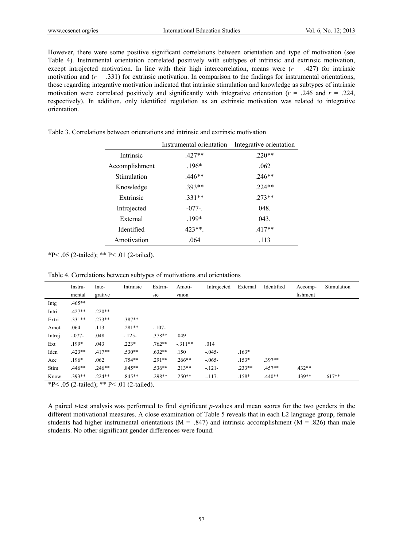However, there were some positive significant correlations between orientation and type of motivation (see Table 4). Instrumental orientation correlated positively with subtypes of intrinsic and extrinsic motivation, except introjected motivation. In line with their high intercorrelation, means were  $(r = .427)$  for intrinsic motivation and  $(r = .331)$  for extrinsic motivation. In comparison to the findings for instrumental orientations, those regarding integrative motivation indicated that intrinsic stimulation and knowledge as subtypes of intrinsic motivation were correlated positively and significantly with integrative orientation ( $r = .246$  and  $r = .224$ , respectively). In addition, only identified regulation as an extrinsic motivation was related to integrative orientation.

Table 3. Correlations between orientations and intrinsic and extrinsic motivation

|                | Instrumental orientation | Integrative orientation |
|----------------|--------------------------|-------------------------|
| Intrinsic      | $.427**$                 | $.220**$                |
| Accomplishment | $.196*$                  | .062                    |
| Stimulation    | $.446**$                 | $.246**$                |
| Knowledge      | $393**$                  | $.224**$                |
| Extrinsic      | $.331**$                 | $.273**$                |
| Introjected    | $-077$ -.                | 048.                    |
| External       | 199*                     | 043.                    |
| Identified     | $423**$                  | $.417**$                |
| Amotivation    | .064                     | .113                    |

\*P< .05 (2-tailed); \*\* P< .01 (2-tailed).

Table 4. Correlations between subtypes of motivations and orientations

|        | Instru-    | Inte-    | Intrinsic | Extrin-  | Amoti-    | Introjected | External | Identified | Accomp-  | Stimulation |
|--------|------------|----------|-----------|----------|-----------|-------------|----------|------------|----------|-------------|
|        | mental     | grative  |           | sic      | vaion     |             |          |            | lishment |             |
| Intg   | $.465**$   |          |           |          |           |             |          |            |          |             |
| Intri  | $.427**$   | $.220**$ |           |          |           |             |          |            |          |             |
| Extri  | $.331**$   | $273**$  | 387**     |          |           |             |          |            |          |             |
| Amot   | .064       | .113     | $.281**$  | $-.107-$ |           |             |          |            |          |             |
| Introj | $-0.077 -$ | .048     | $-125-$   | $.378**$ | .049      |             |          |            |          |             |
| Ext    | $.199*$    | .043     | $.223*$   | $.762**$ | $-.311**$ | .014        |          |            |          |             |
| Iden   | $.423**$   | $.417**$ | $.530**$  | $.632**$ | .150      | $-0.045 -$  | $.163*$  |            |          |             |
| Acc    | $.196*$    | .062     | .754**    | $.291**$ | $.266**$  | $-0.065-$   | $.153*$  | 397**      |          |             |
| Stim   | $.446**$   | $.246**$ | $.845**$  | $.536**$ | $.213**$  | $-121-$     | $.233**$ | $.457**$   | $.432**$ |             |
| Know   | 393**      | $.224**$ | $.845**$  | .298**   | $.250**$  | $-117-$     | $.158*$  | $.440**$   | $.439**$ | $.617**$    |

\*P< .05 (2-tailed); \*\* P< .01 (2-tailed).

A paired *t*-test analysis was performed to find significant *p*-values and mean scores for the two genders in the different motivational measures. A close examination of Table 5 reveals that in each L2 language group, female students had higher instrumental orientations ( $M = .847$ ) and intrinsic accomplishment ( $M = .826$ ) than male students. No other significant gender differences were found.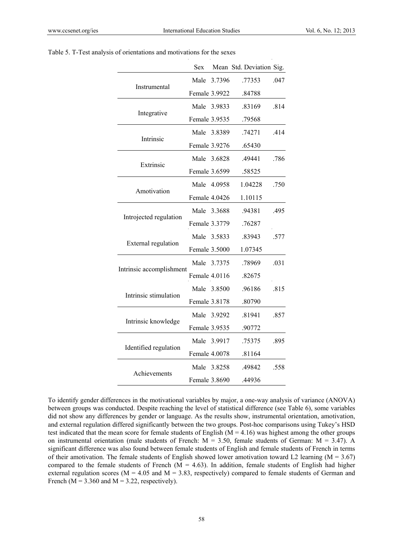|                          | <b>Sex</b>    |             | Mean Std. Deviation Sig. |      |
|--------------------------|---------------|-------------|--------------------------|------|
|                          | Male          | 3.7396      | .77353                   | .047 |
| Instrumental             | Female 3.9922 |             | .84788                   |      |
|                          |               | Male 3.9833 | .83169                   | .814 |
| Integrative              | Female 3.9535 |             | .79568                   |      |
|                          |               | Male 3.8389 | .74271                   | .414 |
| Intrinsic                | Female 3.9276 |             | .65430                   |      |
|                          |               | Male 3.6828 | .49441                   | .786 |
| Extrinsic                | Female 3.6599 |             | .58525                   |      |
|                          |               | Male 4.0958 | 1.04228                  | .750 |
| Amotivation              | Female 4.0426 |             | 1.10115                  |      |
|                          |               | Male 3.3688 | .94381                   | .495 |
| Introjected regulation   | Female 3.3779 |             | .76287                   |      |
|                          |               | Male 3.5833 | .83943                   | .577 |
| External regulation      | Female 3.5000 |             | 1.07345                  |      |
|                          |               | Male 3.7375 | .78969                   | .031 |
| Intrinsic accomplishment | Female 4.0116 |             | .82675                   |      |
|                          |               | Male 3.8500 | .96186                   | .815 |
| Intrinsic stimulation    | Female 3.8178 |             | .80790                   |      |
|                          |               | Male 3.9292 | .81941                   | .857 |
| Intrinsic knowledge      | Female 3.9535 |             | .90772                   |      |
|                          |               | Male 3.9917 | .75375                   | .895 |
| Identified regulation    | Female 4.0078 |             | .81164                   |      |
|                          |               | Male 3.8258 | .49842                   | .558 |
| Achievements             | Female 3.8690 |             | .44936                   |      |

#### Table 5. T-Test analysis of orientations and motivations for the sexes

To identify gender differences in the motivational variables by major, a one-way analysis of variance (ANOVA) between groups was conducted. Despite reaching the level of statistical difference (see Table 6), some variables did not show any differences by gender or language. As the results show, instrumental orientation, amotivation, and external regulation differed significantly between the two groups. Post-hoc comparisons using Tukey's HSD test indicated that the mean score for female students of English ( $M = 4.16$ ) was highest among the other groups on instrumental orientation (male students of French:  $M = 3.50$ , female students of German:  $M = 3.47$ ). A significant difference was also found between female students of English and female students of French in terms of their amotivation. The female students of English showed lower amotivation toward L2 learning ( $M = 3.67$ ) compared to the female students of French ( $M = 4.63$ ). In addition, female students of English had higher external regulation scores ( $M = 4.05$  and  $M = 3.83$ , respectively) compared to female students of German and French ( $M = 3.360$  and  $M = 3.22$ , respectively).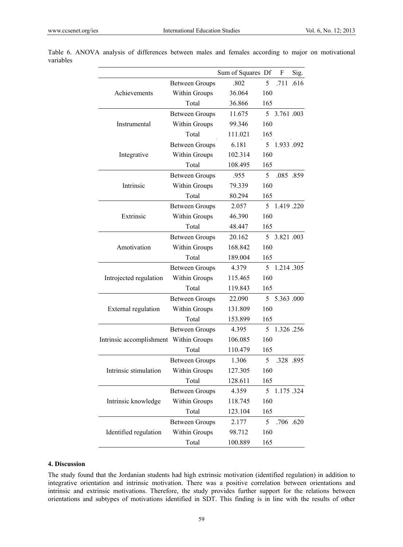|                          |                       | Sum of Squares Df |                | F            | Sig. |
|--------------------------|-----------------------|-------------------|----------------|--------------|------|
|                          | <b>Between Groups</b> | .802              | 5              | .711         | .616 |
| Achievements             | Within Groups         | 36.064            | 160            |              |      |
|                          | Total                 | 36.866            | 165            |              |      |
|                          | <b>Between Groups</b> | 11.675            |                | 5 3.761 .003 |      |
| Instrumental             | Within Groups         | 99.346            | 160            |              |      |
|                          | Total                 | 111.021           | 165            |              |      |
|                          | <b>Between Groups</b> | 6.181             | 5              | 1.933 .092   |      |
| Integrative              | Within Groups         | 102.314           | 160            |              |      |
|                          | Total                 | 108.495           | 165            |              |      |
|                          | <b>Between Groups</b> | .955              | 5              | .085.859     |      |
| Intrinsic                | Within Groups         | 79.339            | 160            |              |      |
|                          | Total                 | 80.294            | 165            |              |      |
|                          | <b>Between Groups</b> | 2.057             | 5 <sup>5</sup> | 1.419.220    |      |
| Extrinsic                | Within Groups         | 46.390            | 160            |              |      |
|                          | Total                 | 48.447            | 165            |              |      |
|                          | <b>Between Groups</b> | 20.162            |                | 5 3.821 .003 |      |
| Amotivation              | Within Groups         | 168.842           | 160            |              |      |
|                          | Total                 | 189.004           | 165            |              |      |
|                          | <b>Between Groups</b> | 4.379             | 5.             | 1.214.305    |      |
| Introjected regulation   | Within Groups         | 115.465           | 160            |              |      |
|                          | Total                 | 119.843           | 165            |              |      |
|                          | <b>Between Groups</b> | 22.090            | 5              | 5.363.000    |      |
| External regulation      | Within Groups         | 131.809           | 160            |              |      |
|                          | Total                 | 153.899           | 165            |              |      |
|                          | <b>Between Groups</b> | 4.395             | 5              | 1.326.256    |      |
| Intrinsic accomplishment | <b>Within Groups</b>  | 106.085           | 160            |              |      |
|                          | Total                 | 110.479           | 165            |              |      |
|                          | <b>Between Groups</b> | 1.306             | 5              | .328 .895    |      |
| Intrinsic stimulation    | <b>Within Groups</b>  | 127.305           | 160            |              |      |
|                          | Total                 | 128.611           | 165            |              |      |
|                          | <b>Between Groups</b> | 4.359             | 5              | 1.175.324    |      |
| Intrinsic knowledge      | Within Groups         | 118.745           | 160            |              |      |
|                          | Total                 | 123.104           | 165            |              |      |
|                          | <b>Between Groups</b> | 2.177             | 5              | .706 .620    |      |
| Identified regulation    | Within Groups         | 98.712            | 160            |              |      |
|                          | Total                 | 100.889           | 165            |              |      |

Table 6. ANOVA analysis of differences between males and females according to major on motivational variables

# **4. Discussion**

The study found that the Jordanian students had high extrinsic motivation (identified regulation) in addition to integrative orientation and intrinsic motivation. There was a positive correlation between orientations and intrinsic and extrinsic motivations. Therefore, the study provides further support for the relations between orientations and subtypes of motivations identified in SDT. This finding is in line with the results of other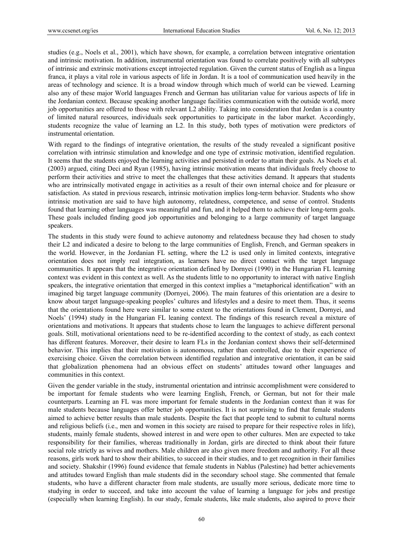studies (e.g., Noels et al., 2001), which have shown, for example, a correlation between integrative orientation and intrinsic motivation. In addition, instrumental orientation was found to correlate positively with all subtypes of intrinsic and extrinsic motivations except introjected regulation. Given the current status of English as a lingua franca, it plays a vital role in various aspects of life in Jordan. It is a tool of communication used heavily in the areas of technology and science. It is a broad window through which much of world can be viewed. Learning also any of these major World languages French and German has utilitarian value for various aspects of life in the Jordanian context. Because speaking another language facilities communication with the outside world, more job opportunities are offered to those with relevant L2 ability. Taking into consideration that Jordan is a country of limited natural resources, individuals seek opportunities to participate in the labor market. Accordingly, students recognize the value of learning an L2. In this study, both types of motivation were predictors of instrumental orientation.

With regard to the findings of integrative orientation, the results of the study revealed a significant positive correlation with intrinsic stimulation and knowledge and one type of extrinsic motivation, identified regulation. It seems that the students enjoyed the learning activities and persisted in order to attain their goals. As Noels et al. (2003) argued, citing Deci and Ryan (1985), having intrinsic motivation means that individuals freely choose to perform their activities and strive to meet the challenges that these activities demand. It appears that students who are intrinsically motivated engage in activities as a result of their own internal choice and for pleasure or satisfaction. As stated in previous research, intrinsic motivation implies long-term behavior. Students who show intrinsic motivation are said to have high autonomy, relatedness, competence, and sense of control. Students found that learning other languages was meaningful and fun, and it helped them to achieve their long-term goals. These goals included finding good job opportunities and belonging to a large community of target language speakers.

The students in this study were found to achieve autonomy and relatedness because they had chosen to study their L2 and indicated a desire to belong to the large communities of English, French, and German speakers in the world. However, in the Jordanian FL setting, where the L2 is used only in limited contexts, integrative orientation does not imply real integration, as learners have no direct contact with the target language communities. It appears that the integrative orientation defined by Dornyei (1990) in the Hungarian FL learning context was evident in this context as well. As the students little to no opportunity to interact with native English speakers, the integrative orientation that emerged in this context implies a "metaphorical identification" with an imagined big target language community (Dornyei, 2006). The main features of this orientation are a desire to know about target language-speaking peoples' cultures and lifestyles and a desire to meet them. Thus, it seems that the orientations found here were similar to some extent to the orientations found in Clement, Dornyei, and Noels' (1994) study in the Hungarian FL leaning context. The findings of this research reveal a mixture of orientations and motivations. It appears that students chose to learn the languages to achieve different personal goals. Still, motivational orientations need to be re-identified according to the context of study, as each context has different features. Moreover, their desire to learn FLs in the Jordanian context shows their self-determined behavior. This implies that their motivation is autonomous, rather than controlled, due to their experience of exercising choice. Given the correlation between identified regulation and integrative orientation, it can be said that globalization phenomena had an obvious effect on students' attitudes toward other languages and communities in this context.

Given the gender variable in the study, instrumental orientation and intrinsic accomplishment were considered to be important for female students who were learning English, French, or German, but not for their male counterparts. Learning an FL was more important for female students in the Jordanian context than it was for male students because languages offer better job opportunities. It is not surprising to find that female students aimed to achieve better results than male students. Despite the fact that people tend to submit to cultural norms and religious beliefs (i.e., men and women in this society are raised to prepare for their respective roles in life), students, mainly female students, showed interest in and were open to other cultures. Men are expected to take responsibility for their families, whereas traditionally in Jordan, girls are directed to think about their future social role strictly as wives and mothers. Male children are also given more freedom and authority. For all these reasons, girls work hard to show their abilities, to succeed in their studies, and to get recognition in their families and society. Shakshir (1996) found evidence that female students in Nablus (Palestine) had better achievements and attitudes toward English than male students did in the secondary school stage. She commented that female students, who have a different character from male students, are usually more serious, dedicate more time to studying in order to succeed, and take into account the value of learning a language for jobs and prestige (especially when learning English). In our study, female students, like male students, also aspired to prove their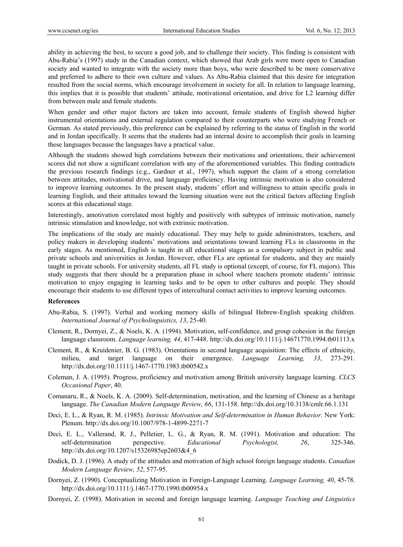ability in achieving the best, to secure a good job, and to challenge their society. This finding is consistent with Abu-Rabia's (1997) study in the Canadian context, which showed that Arab girls were more open to Canadian society and wanted to integrate with the society more than boys, who were described to be more conservative and preferred to adhere to their own culture and values. As Abu-Rabia claimed that this desire for integration resulted from the social norms, which encourage involvement in society for all. In relation to language learning, this implies that it is possible that students' attitude, motivational orientation, and drive for L2 learning differ from between male and female students.

When gender and other major factors are taken into account, female students of English showed higher instrumental orientations and external regulation compared to their counterparts who were studying French or German. As stated previously, this preference can be explained by referring to the status of English in the world and in Jordan specifically. It seems that the students had an internal desire to accomplish their goals in learning these languages because the languages have a practical value.

Although the students showed high correlations between their motivations and orientations, their achievement scores did not show a significant correlation with any of the aforementioned variables. This finding contradicts the previous research findings (e.g., Gardner et al., 1997), which support the claim of a strong correlation between attitudes, motivational drive, and language proficiency. Having intrinsic motivation is also considered to improve learning outcomes. In the present study, students' effort and willingness to attain specific goals in learning English, and their attitudes toward the learning situation were not the critical factors affecting English scores at this educational stage.

Interestingly, amotivation correlated most highly and positively with subtypes of intrinsic motivation, namely intrinsic stimulation and knowledge, not with extrinsic motivation.

The implications of the study are mainly educational. They may help to guide administrators, teachers, and policy makers in developing students' motivations and orientations toward learning FLs in classrooms in the early stages. As mentioned, English is taught in all educational stages as a compulsory subject in public and private schools and universities in Jordan. However, other FLs are optional for students, and they are mainly taught in private schools. For university students, all FL study is optional (except, of course, for FL majors). This study suggests that there should be a preparation phase in school where teachers promote students' intrinsic motivation to enjoy engaging in learning tasks and to be open to other cultures and people. They should encourage their students to use different types of intercultural contact activities to improve learning outcomes.

#### **References**

- Abu-Rabia, S. (1997). Verbal and working memory skills of bilingual Hebrew-English speaking children. *International Journal of Psycholinguistics, 13*, 25-40.
- Clement, R., Dornyei, Z., & Noels, K. A. (1994). Motivation, self-confidence, and group cohesion in the foreign language classroom. *Language learning, 44*, 417-448. http://dx.doi.org/10.1111/j.14671770.1994.tb01113.x
- Clement, R., & Kruidenier, B. G. (1983). Orientations in second language acquisition: The effects of ethnicity, milieu, and target language on their emergence. *Language Learning, 33*, 273-291. http://dx.doi.org/10.1111/j.1467-1770.1983.tb00542.x
- Coleman, J. A. (1995). Progress, proficiency and motivation among British university language learning. *CLCS Occasional Paper*, 40.
- Comanaru, R., & Noels, K. A. (2009). Self-determination, motivation, and the learning of Chinese as a heritage language. *The Canadian Modern Language Review, 66*, 131-158. http://dx.doi.org/10.3138/cmlr.66.1.131
- Deci, E. L., & Ryan, R. M. (1985). *Intrinsic Motivation and Self-determination in Human Behavior.* New York: Plenum. http://dx.doi.org/10.1007/978-1-4899-2271-7
- Deci, E. L., Vallerand, R. J., Pelletier, L. G., & Ryan, R. M. (1991). Motivation and education: The self-determination perspective. *Educational Psychologist, 26*, 325-346. http://dx.doi.org/10.1207/s15326985ep2603&4\_6
- Dodick, D. J. (1996). A study of the attitudes and motivation of high school foreign language students. *Canadian Modern Language Review, 52*, 577-95.
- Dornyei, Z. (1990). Conceptualizing Motivation in Foreign-Language Learning. *Language Learning, 40*, 45-78. http://dx.doi.org/10.1111/j.1467-1770.1990.tb00954.x
- Dornyei, Z. (1998). Motivation in second and foreign language learning. *Language Teaching and Linguistics*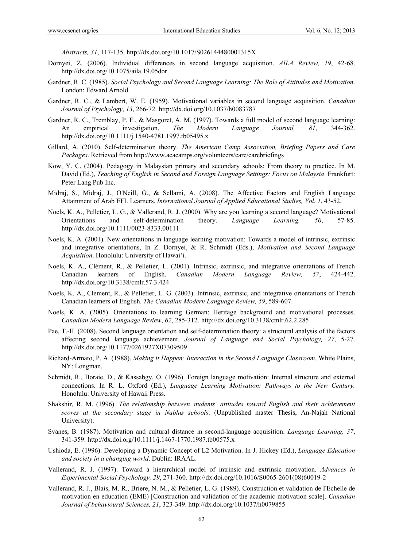*Abstracts, 31*, 117-135. http://dx.doi.org/10.1017/S026144480001315X

- Dornyei, Z. (2006). Individual differences in second language acquisition. *AILA Review, 19*, 42-68. http://dx.doi.org/10.1075/aila.19.05dor
- Gardner, R. C. (1985). *Social Psychology and Second Language Learning: The Role of Attitudes and Motivation*. London: Edward Arnold.
- Gardner, R. C., & Lambert, W. E. (1959). Motivational variables in second language acquisition. *Canadian Journal of Psychology*, *13*, 266-72. http://dx.doi.org/10.1037/h0083787
- Gardner, R. C., Tremblay, P. F., & Masgoret, A. M. (1997). Towards a full model of second language learning: An empirical investigation. *The Modern Language Journal, 81*, 344-362. http://dx.doi.org/10.1111/j.1540-4781.1997.tb05495.x
- Gillard, A. (2010). Self-determination theory. *The American Camp Association, Briefing Papers and Care Packages*. Retrieved from http://www.acacamps.org/volunteers/care/carebriefings
- Kow, Y. C. (2004). Pedagogy in Malaysian primary and secondary schools: From theory to practice. In M. David (Ed.), *Teaching of English in Second and Foreign Language Settings: Focus on Malaysia*. Frankfurt: Peter Lang Pub Inc.
- Midraj, S., Midraj, J., O'Neill, G., & Sellami, A. (2008). The Affective Factors and English Language Attainment of Arab EFL Learners. *International Journal of Applied Educational Studies, Vol. 1*, 43-52.
- Noels, K. A., Pelletier, L. G., & Vallerand, R. J. (2000). Why are you learning a second language? Motivational Orientations and self-determination theory. *Language Learning, 50*, 57-85. http://dx.doi.org/10.1111/0023-8333.00111
- Noels, K. A. (2001). New orientations in language learning motivation: Towards a model of intrinsic, extrinsic and integrative orientations, In Z. Dornyei, & R. Schmidt (Eds.), *Motivation and Second Language Acquisition*. Honolulu: University of Hawai'i.
- Noels, K. A., Clément, R., & Pelletier, L. (2001). Intrinsic, extrinsic, and integrative orientations of French Canadian learners of English. *Canadian Modern Language Review, 57*, 424-442. http://dx.doi.org/10.3138/cmlr.57.3.424
- Noels, K. A., Clement, R., & Pelletier, L. G. (2003). Intrinsic, extrinsic, and integrative orientations of French Canadian learners of English. *The Canadian Modern Language Review, 59*, 589-607.
- Noels, K. A. (2005). Orientations to learning German: Heritage background and motivational processes. *Canadian Modern Language Review*, *62*, 285-312. http://dx.doi.org/10.3138/cmlr.62.2.285
- Pae, T.-II. (2008). Second language orientation and self-determination theory: a structural analysis of the factors affecting second language achievement. *Journal of Language and Social Psychology, 27*, 5-27. http://dx.doi.org/10.1177/0261927X07309509
- Richard-Armato, P. A. (1988). *Making it Happen: Interaction in the Second Language Classroom.* White Plains, NY: Longman.
- Schmidt, R., Boraie, D., & Kassabgy, O. (1996). Foreign language motivation: Internal structure and external connections. In R. L. Oxford (Ed.), *Language Learning Motivation: Pathways to the New Century.* Honolulu: University of Hawaii Press.
- Shakshir, R. M. (1996). *The relationship between students' attitudes toward English and their achievement scores at the secondary stage in Nablus schools*. (Unpublished master Thesis, An-Najah National University).
- Svanes, B. (1987). Motivation and cultural distance in second-language acquisition. *Language Learning, 37*, 341-359. http://dx.doi.org/10.1111/j.1467-1770.1987.tb00575.x
- Ushioda, E. (1996). Developing a Dynamic Concept of L2 Motivation. In J. Hickey (Ed.), *Language Education and society in a changing world*. Dublin: IRAAL.
- Vallerand, R. J. (1997). Toward a hierarchical model of intrinsic and extrinsic motivation. *Advances in Experimental Social Psychology, 29*, 271-360. http://dx.doi.org/10.1016/S0065-2601(08)60019-2
- Vallerand, R. J., Blais, M. R., Briere, N. M., & Pelletier, L. G. (1989). Construction et validation de I'Echelle de motivation en education (EME) [Construction and validation of the academic motivation scale]. *Canadian Journal of behavioural Sciences, 21*, 323-349. http://dx.doi.org/10.1037/h0079855